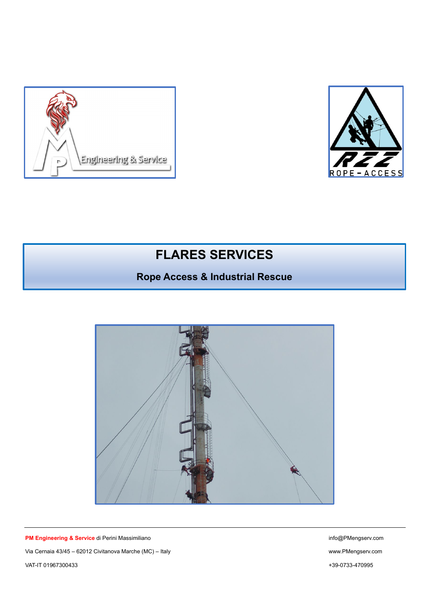



# **FLARES SERVICES**

## **Rope Access & Industrial Rescue**



**PM Engineering & Service** di Perini Massimiliano info@PMengserv.com Via Cernaia 43/45 – 62012 Civitanova Marche (MC) – Italy www.PMengserv.com VAT-IT 01967300433 +39-0733-470995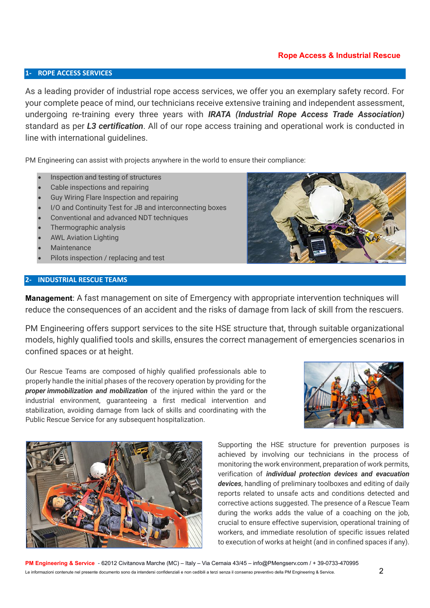### **Rope Access & Industrial Rescue**

#### **1- ROPE ACCESS SERVICES**

As a leading provider of industrial rope access services, we offer you an exemplary safety record. For your complete peace of mind, our technicians receive extensive training and independent assessment, undergoing re-training every three years with *IRATA (Industrial Rope Access Trade Association)* standard as per *L3 certification*. All of our rope access training and operational work is conducted in line with international guidelines.

PM Engineering can assist with projects anywhere in the world to ensure their compliance:

- Inspection and testing of structures
- Cable inspections and repairing
- Guy Wiring Flare Inspection and repairing
- I/O and Continuity Test for JB and interconnecting boxes
- Conventional and advanced NDT techniques
- Thermographic analysis
- AWL Aviation Lighting
- Maintenance
- Pilots inspection / replacing and test

#### **2- INDUSTRIAL RESCUE TEAMS**



**Management**: A fast management on site of Emergency with appropriate intervention techniques will reduce the consequences of an accident and the risks of damage from lack of skill from the rescuers.

PM Engineering offers support services to the site HSE structure that, through suitable organizational models, highly qualified tools and skills, ensures the correct management of emergencies scenarios in confined spaces or at height.

Our Rescue Teams are composed of highly qualified professionals able to properly handle the initial phases of the recovery operation by providing for the *proper immobilization and mobilization* of the injured within the yard or the industrial environment, guaranteeing a first medical intervention and stabilization, avoiding damage from lack of skills and coordinating with the Public Rescue Service for any subsequent hospitalization.





Supporting the HSE structure for prevention purposes is achieved by involving our technicians in the process of monitoring the work environment, preparation of work permits, verification of *individual protection devices and evacuation devices*, handling of preliminary toolboxes and editing of daily reports related to unsafe acts and conditions detected and corrective actions suggested. The presence of a Rescue Team during the works adds the value of a coaching on the job, crucial to ensure effective supervision, operational training of workers, and immediate resolution of specific issues related to execution of works at height (and in confined spaces if any).